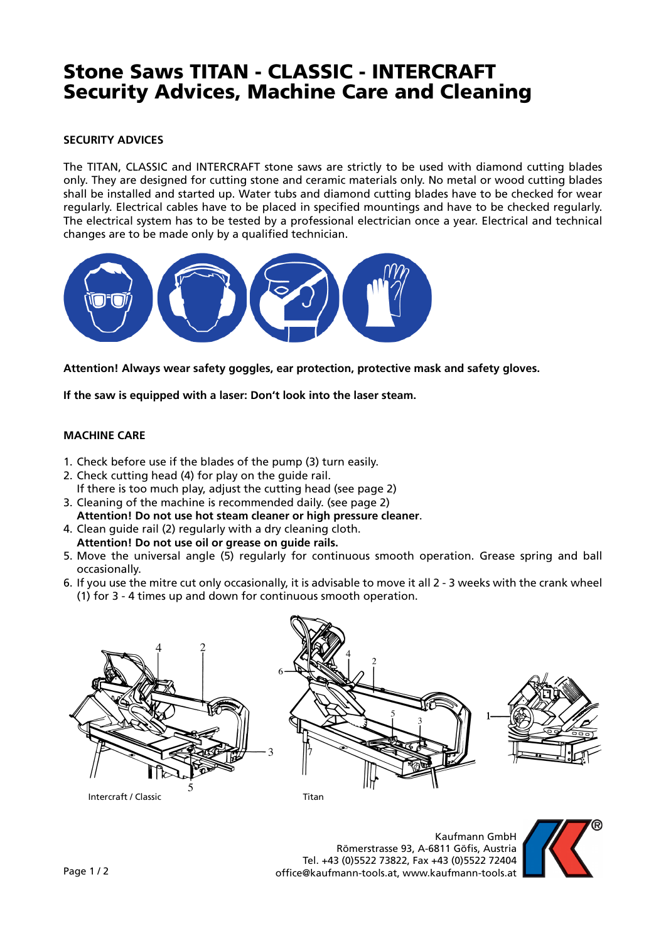# Stone Saws TITAN - CLASSIC - INTERCRAFT Security Advices, Machine Care and Cleaning

# **SECURITY ADVICES**

The TITAN, CLASSIC and INTERCRAFT stone saws are strictly to be used with diamond cutting blades only. They are designed for cutting stone and ceramic materials only. No metal or wood cutting blades shall be installed and started up. Water tubs and diamond cutting blades have to be checked for wear regularly. Electrical cables have to be placed in specified mountings and have to be checked regularly. The electrical system has to be tested by a professional electrician once a year. Electrical and technical changes are to be made only by a qualified technician.



**Attention! Always wear safety goggles, ear protection, protective mask and safety gloves.**

**If the saw is equipped with a laser: Don't look into the laser steam.**

# **MACHINE CARE**

- 1. Check before use if the blades of the pump (3) turn easily.
- 2. Check cutting head (4) for play on the guide rail. If there is too much play, adjust the cutting head (see page 2)
- 3. Cleaning of the machine is recommended daily. (see page 2) **Attention! Do not use hot steam cleaner or high pressure cleaner**.
- 4. Clean guide rail (2) regularly with a dry cleaning cloth. **Attention! Do not use oil or grease on guide rails.**
- 5. Move the universal angle (5) regularly for continuous smooth operation. Grease spring and ball occasionally.
- 6. If you use the mitre cut only occasionally, it is advisable to move it all 2 3 weeks with the crank wheel (1) for 3 - 4 times up and down for continuous smooth operation.